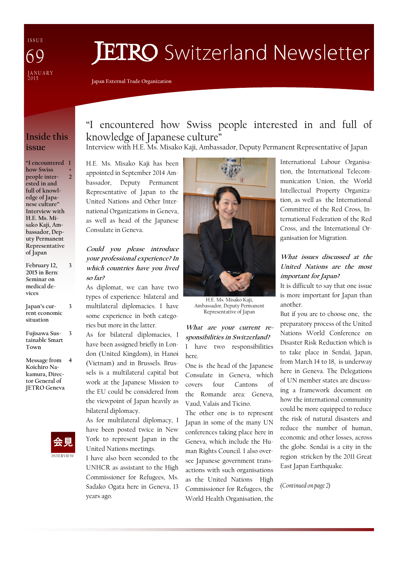I S S U E JANUARY<br>2015 69

# **JETRO** Switzerland Newsletter

Japan External Trade Organization

# Inside this issue

"I encountered 1 how Swiss people interested in and full of knowledge of Japanese culture" Interview with H.E. Ms. Misako Kaji, Ambassador, Deputy Permanent Representative of Japan + 2

February 12, 2015 in Bern: Seminar on medical devices

3

3

- Japan's current economic situation
- Fujisawa Sustainable Smart Town 3
- Message from 4 Koichiro Nakamura, Director General of JETRO Geneva



# "I encountered how Swiss people interested in and full of knowledge of Japanese culture"

Interview with H.E. Ms. Misako Kaji, Ambassador, Deputy Permanent Representative of Japan

H.E. Ms. Misako Kaji has been appointed in September 2014 Ambassador, Deputy Permanent Representative of Japan to the United Nations and Other International Organizations in Geneva, as well as head of the Japanese Consulate in Geneva.

### Could you please introduce your professional experience? In which countries have you lived so far?

As diplomat, we can have two types of experience: bilateral and multilateral diplomacies. I have some experience in both categories but more in the latter.

As for bilateral diplomacies, I have been assigned briefly in London (United Kingdom), in Hanoi (Vietnam) and in Brussels. Brussels is a multilateral capital but work at the Japanese Mission to the EU could be considered from the viewpoint of Japan heavily as bilateral diplomacy.

As for multilateral diplomacy, I have been posted twice in New York to represent Japan in the United Nations meetings.

I have also been seconded to the UNHCR as assistant to the High Commissioner for Refugees, Ms. Sadako Ogata here in Geneva, 13 years ago.



H.E. Ms. Misako Kaji, Ambassador, Deputy Permanent Representative of Japan

What are your current responsibilities in Switzerland? I have two responsibilities here.

One is the head of the Japanese Consulate in Geneva, which covers four Cantons of the Romande area: Geneva, Vaud, Valais and Ticino.

The other one is to represent Japan in some of the many UN conferences taking place here in Geneva, which include the Human Rights Council. I also oversee Japanese government transactions with such organisations as the United Nations High Commissioner for Refugees, the World Health Organisation, the

International Labour Organisation, the International Telecommunication Union, the World Intellectual Property Organization, as well as the International Committee of the Red Cross, International Federation of the Red Cross, and the International Organisation for Migration.

### What issues discussed at the United Nations are the most important for Japan?

It is difficult to say that one issue is more important for Japan than another.

But if you are to choose one, the preparatory process of the United Nations World Conference on Disaster Risk Reduction which is to take place in Sendai, Japan, from March 14 to 18, is underway here in Geneva. The Delegations of UN member states are discussing a framework document on how the international community could be more equipped to reduce the risk of natural disasters and reduce the number of human, economic and other losses, across the globe. Sendai is a city in the region stricken by the 2011 Great East Japan Earthquake.

(Continued on page 2)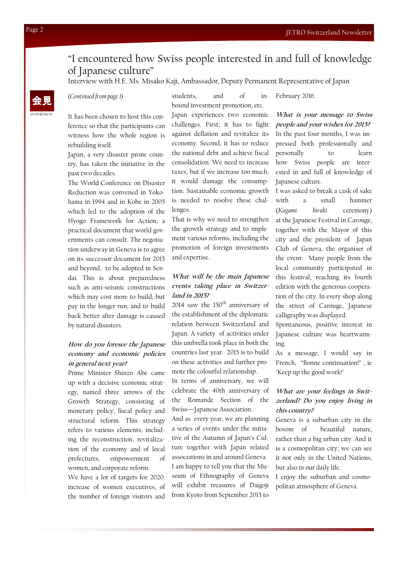# "I encountered how Swiss people interested in and full of knowledge of Japanese culture"

Interview with H.E. Ms. Misako Kaji, Ambassador, Deputy Permanent Representative of Japan

It has been chosen to host this conference so that the participants can witness how the whole region is rebuilding itself.

Japan, a very disaster prone country, has taken the initiative in the past two decades.

The World Conference on Disaster Reduction was convened in Yokohama in 1994 and in Kobe in 2005 which led to the adoption of the Hyogo Framework for Action, a practical document that world governments can consult. The negotiation underway in Geneva is to agree on its successor document for 2015 and beyond, to be adopted in Sendai. This is about preparedness such as anti-seismic constructions which may cost more to build, but pay in the longer run, and to build back better after damage is caused by natural disasters.

#### How do you foresee the Japanese economy and economic policies in general next year?

Prime Minister Shinzo Abe came up with a decisive economic strategy, named three arrows of the Growth Strategy, consisting of monetary policy, fiscal policy and structural reform. This strategy refers to various elements, including the reconstruction, revitalization of the economy and of local prefectures, empowerment of women, and corporate reform.

We have a lot of targets for 2020: increase of women executives, of the number of foreign visitors and

 $\leftarrow$ 見 (Continued from page 1) students, and of in-February 2016. students, and of inbound investment promotion, etc.

> Japan experiences two economic challenges. First, it has to fight against deflation and revitalize its economy. Second, it has to reduce the national debt and achieve fiscal consolidation. We need to increase taxes, but if we increase too much, it would damage the consumption. Sustainable economic growth is needed to resolve these challenges.

> That is why we need to strengthen the growth strategy and to implement various reforms, including the promotion of foreign investments and expertise.

#### What will be the main Japanese events taking place in Switzerland in 2015?

2014 saw the  $150<sup>th</sup>$  anniversary of the establishment of the diplomatic relation between Switzerland and Japan. A variety of activities under this umbrella took place in both the countries last year. 2015 is to build on these activities and further promote the colourful relationship. In terms of anniversary, we will celebrate the 40th anniversary of the Romande Section of the Swiss—Japanese Association.

And as every year, we are planning a series of events under the initiative of the Autumn of Japan's Culture together with Japan related associations in and around Geneva. I am happy to tell you that the Museum of Ethnography of Geneva will exhibit treasures of Daigoji from Kyoto from September 2015 to

What is your message to Swiss people and your wishes for 2015? In the past four months, I was impressed both professionally and personally to learn how Swiss people are interested in and full of knowledge of Japanese culture.

I was asked to break a cask of sake with a small hammer (Kagami biraki ceremony) at the Japanese Festival in Carouge, together with the Mayor of this city and the president of Japan Club of Geneva, the organiser of the event. Many people from the local community participated in this festival, reaching its fourth edition with the generous cooperation of the city. In every shop along the street of Carouge, Japanese calligraphy was displayed.

Spontaneous, positive interest in Japanese culture was heartwarming.

As a message, I would say in French, "Bonne continuation!" , ie "Keep up the good work!"

#### What are your feelings in Switzerland? Do you enjoy living in this country?

Geneva is a suburban city in the bosom of beautiful nature, rather than a big urban city. And it is a cosmopolitan city; we can see it not only in the United Nations, but also in our daily life.

I enjoy the suburban and cosmopolitan atmosphere of Geneva.

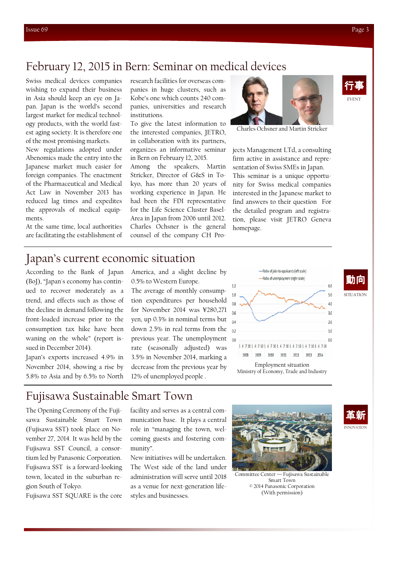# February 12, 2015 in Bern: Seminar on medical devices

Swiss medical devices companies wishing to expand their business in Asia should keep an eye on Japan. Japan is the world's second largest market for medical technology products, with the world fastest aging society. It is therefore one of the most promising markets.

New regulations adopted under Abenomics made the entry into the Japanese market much easier for foreign companies. The enactment of the Pharmaceutical and Medical Act Law in November 2013 has reduced lag times and expedites the approvals of medical equipments.

At the same time, local authorities are facilitating the establishment of research facilities for overseas companies in huge clusters, such as Kobe's one which counts 240 companies, universities and research institutions.

To give the latest information to the interested companies, JETRO, in collaboration with its partners, organizes an informative seminar in Bern on February 12, 2015.

Among the speakers, Martin Stricker, Director of G&S in Tokyo, has more than 20 years of working experience in Japan. He had been the FDI representative for the Life Science Cluster Basel-Area in Japan from 2006 until 2012. Charles Ochsner is the general counsel of the company CH Pro-



Charles Ochsner and Martin Stricker

jects Management LTd, a consulting firm active in assistance and representation of Swiss SMEs in Japan. This seminar is a unique opportunity for Swiss medical companies interested in the Japanese market to find answers to their question For the detailed program and registration, please visit JETRO Geneva homepage.

# Japan's current economic situation

According to the Bank of Japan (BoJ), "Japan's economy has continued to recover moderately as a trend, and effects such as those of the decline in demand following the front-loaded increase prior to the consumption tax hike have been waning on the whole" (report issued in December 2014).

Japan's exports increased 4.9% in November 2014, showing a rise by 5.8% to Asia and by 6.5% to North America, and a slight decline by 0.5% to Western Europe.

The average of monthly consumption expenditures per household for November 2014 was ¥280,271 yen, up 0.3% in nominal terms but down 2.5% in real terms from the previous year. The unemployment rate (seasonally adjusted) was 3.5% in November 2014, marking a decrease from the previous year by 12% of unemployed people .





Fujisawa Sustainable Smart Town

The Opening Ceremony of the Fujisawa Sustainable Smart Town (Fujisawa SST) took place on November 27, 2014. It was held by the Fujisawa SST Council, a consortium led by Panasonic Corporation. Fujisawa SST is a forward-looking town, located in the suburban region South of Tokyo.

Fujisawa SST SQUARE is the core

facility and serves as a central communication base. It plays a central role in "managing the town, welcoming guests and fostering community".

New initiatives will be undertaken. The West side of the land under administration will serve until 2018 as a venue for next-generation lifestyles and businesses.







EVENT 行事